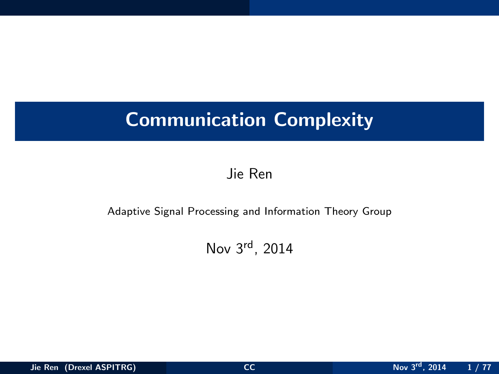# Communication Complexity

Jie Ren

#### Adaptive Signal Processing and Information Theory Group

<span id="page-0-0"></span>Nov 3rd, 2014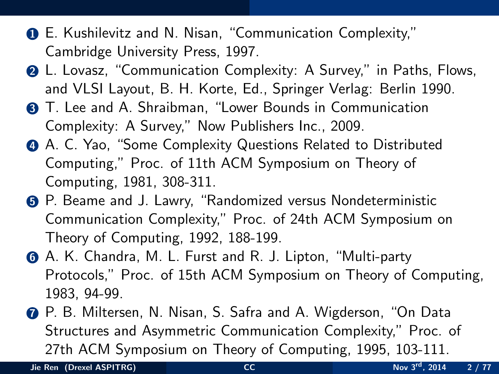- 1 E. Kushilevitz and N. Nisan, "Communication Complexity," Cambridge University Press, 1997.
- 2 L. Lovasz, "Communication Complexity: A Survey," in Paths, Flows, and VLSI Layout, B. H. Korte, Ed., Springer Verlag: Berlin 1990.
- **3** T. Lee and A. Shraibman, "Lower Bounds in Communication Complexity: A Survey," Now Publishers Inc., 2009.
- 4 A. C. Yao, "Some Complexity Questions Related to Distributed Computing," Proc. of 11th ACM Symposium on Theory of Computing, 1981, 308-311.
- 5 P. Beame and J. Lawry, "Randomized versus Nondeterministic Communication Complexity," Proc. of 24th ACM Symposium on Theory of Computing, 1992, 188-199.
- 6 A. K. Chandra, M. L. Furst and R. J. Lipton, "Multi-party Protocols," Proc. of 15th ACM Symposium on Theory of Computing, 1983, 94-99.
- 7 P. B. Miltersen, N. Nisan, S. Safra and A. Wigderson, "On Data Structures and Asymmetric Communication Complexity," Proc. of 27th ACM Symposium on Theory of Computing, 1995, 103-111.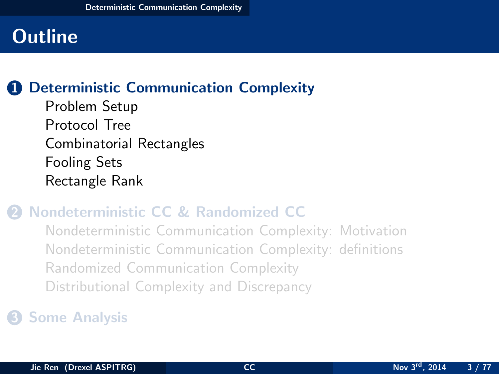## **1** [Deterministic Communication Complexity](#page-2-0)

[Problem Setup](#page-3-0) [Protocol Tree](#page-9-0) [Combinatorial Rectangles](#page-14-0) [Fooling Sets](#page-20-0) [Rectangle Rank](#page-26-0)

## 2 [Nondeterministic CC & Randomized CC](#page-33-0)

<span id="page-2-0"></span>[Nondeterministic Communication Complexity: Motivation](#page-34-0) [Nondeterministic Communication Complexity: definitions](#page-41-0) [Randomized Communication Complexity](#page-46-0) [Distributional Complexity and Discrepancy](#page-57-0)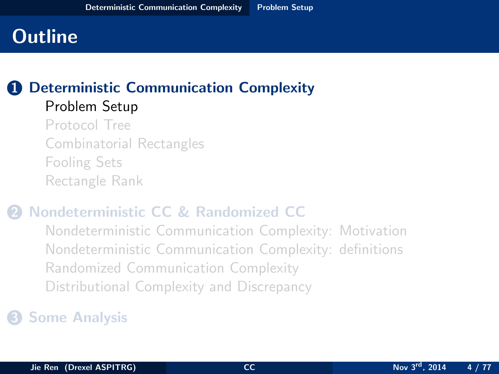#### **1** [Deterministic Communication Complexity](#page-2-0) [Problem Setup](#page-3-0)

[Protocol Tree](#page-9-0) [Combinatorial Rectangles](#page-14-0) [Fooling Sets](#page-20-0) [Rectangle Rank](#page-26-0)

## 2 [Nondeterministic CC & Randomized CC](#page-33-0)

<span id="page-3-0"></span>[Nondeterministic Communication Complexity: Motivation](#page-34-0) [Nondeterministic Communication Complexity: definitions](#page-41-0) [Randomized Communication Complexity](#page-46-0) [Distributional Complexity and Discrepancy](#page-57-0)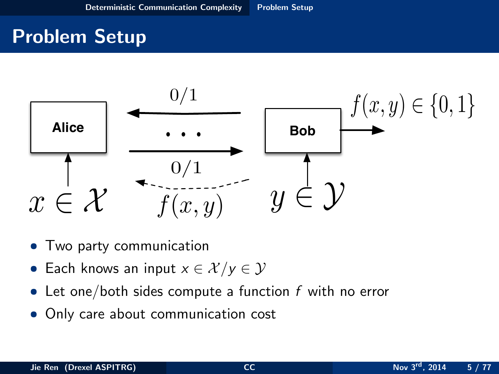# Problem Setup



- Two party communication
- Each knows an input  $x \in \mathcal{X}/y \in \mathcal{Y}$
- Let one/both sides compute a function  $f$  with no error
- <span id="page-4-0"></span>• Only care about communication cost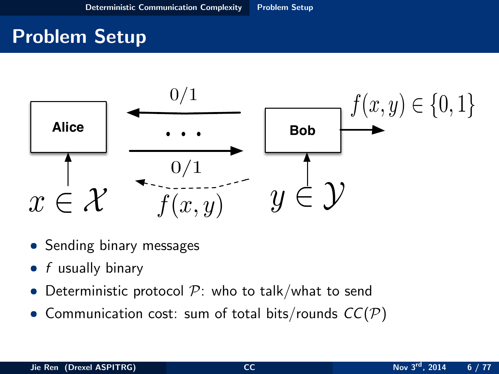# Problem Setup



- Sending binary messages
- $f$  usually binary
- Deterministic protocol  $P$ : who to talk/what to send
- <span id="page-5-0"></span>• Communication cost: sum of total bits/rounds  $CC(\mathcal{P})$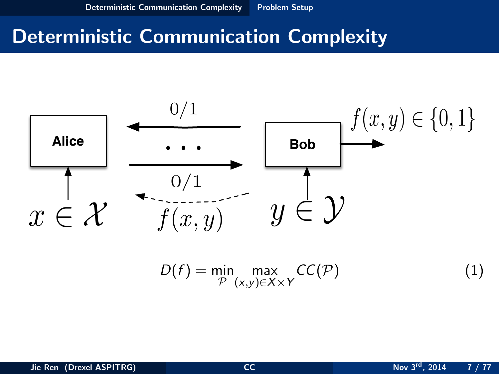## Deterministic Communication Complexity



<span id="page-6-0"></span>
$$
D(f) = \min_{\mathcal{P}} \max_{(x,y)\in X\times Y} CC(\mathcal{P})
$$
 (1)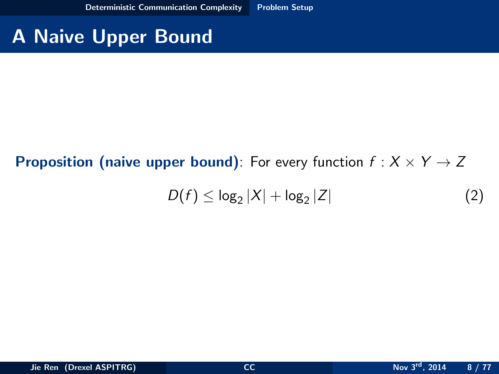# A Naive Upper Bound

#### **Proposition (naive upper bound):** For every function  $f : X \times Y \rightarrow Z$

<span id="page-7-0"></span>
$$
D(f) \leq \log_2 |X| + \log_2 |Z| \tag{2}
$$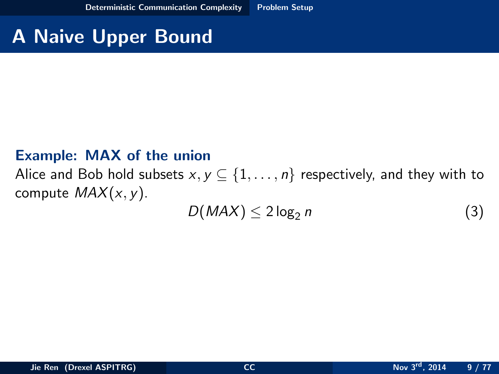# A Naive Upper Bound

#### Example: MAX of the union

Alice and Bob hold subsets  $x, y \subseteq \{1, ..., n\}$  respectively, and they with to compute  $MAX(x, y)$ .

<span id="page-8-0"></span>
$$
D(MAX) \le 2\log_2 n \tag{3}
$$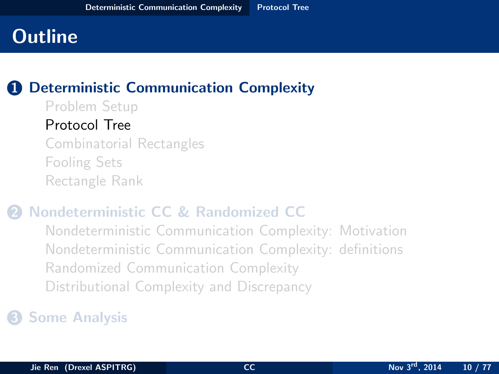#### **1** [Deterministic Communication Complexity](#page-2-0)

[Problem Setup](#page-3-0) [Protocol Tree](#page-9-0) [Combinatorial Rectangles](#page-14-0) [Fooling Sets](#page-20-0) [Rectangle Rank](#page-26-0)

#### 2 [Nondeterministic CC & Randomized CC](#page-33-0)

<span id="page-9-0"></span>[Nondeterministic Communication Complexity: Motivation](#page-34-0) [Nondeterministic Communication Complexity: definitions](#page-41-0) [Randomized Communication Complexity](#page-46-0) [Distributional Complexity and Discrepancy](#page-57-0)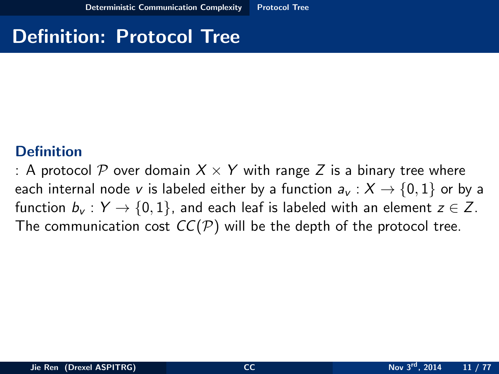# Definition: Protocol Tree

#### **Definition**

<span id="page-10-0"></span>: A protocol P over domain  $X \times Y$  with range Z is a binary tree where each internal node v is labeled either by a function  $a_v : X \to \{0, 1\}$  or by a function  $b_v : Y \to \{0,1\}$ , and each leaf is labeled with an element  $z \in Z$ . The communication cost  $CC(\mathcal{P})$  will be the depth of the protocol tree.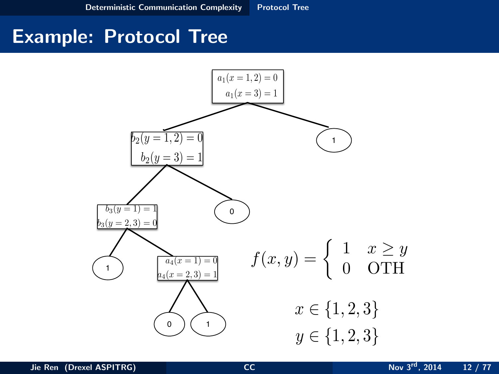<span id="page-11-0"></span>

## Example: Protocol Tree

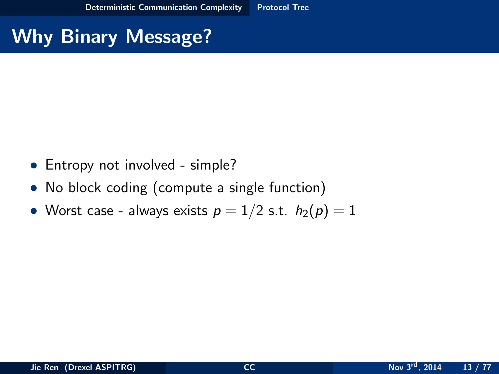# Why Binary Message?

- Entropy not involved simple?
- No block coding (compute a single function)
- <span id="page-12-0"></span>• Worst case - always exists  $p = 1/2$  s.t.  $h_2(p) = 1$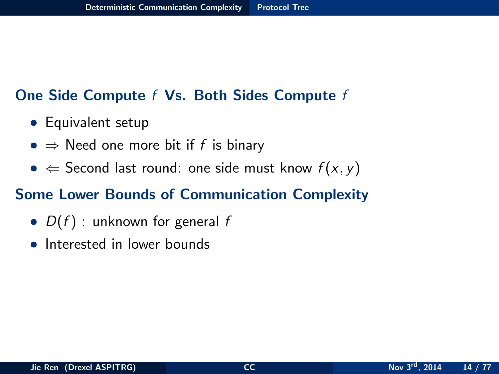#### One Side Compute f Vs. Both Sides Compute f

- Equivalent setup
- $\Rightarrow$  Need one more bit if f is binary
- $\Leftarrow$  Second last round: one side must know  $f(x, y)$

#### Some Lower Bounds of Communication Complexity

- $D(f)$ : unknown for general f
- <span id="page-13-0"></span>• Interested in lower bounds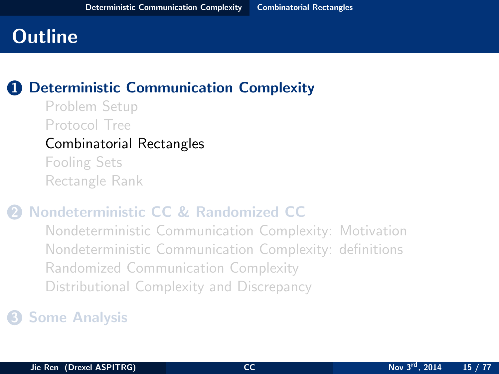## **1** [Deterministic Communication Complexity](#page-2-0)

[Problem Setup](#page-3-0) [Protocol Tree](#page-9-0) [Combinatorial Rectangles](#page-14-0) [Fooling Sets](#page-20-0) [Rectangle Rank](#page-26-0)

#### 2 [Nondeterministic CC & Randomized CC](#page-33-0)

<span id="page-14-0"></span>[Nondeterministic Communication Complexity: Motivation](#page-34-0) [Nondeterministic Communication Complexity: definitions](#page-41-0) [Randomized Communication Complexity](#page-46-0) [Distributional Complexity and Discrepancy](#page-57-0)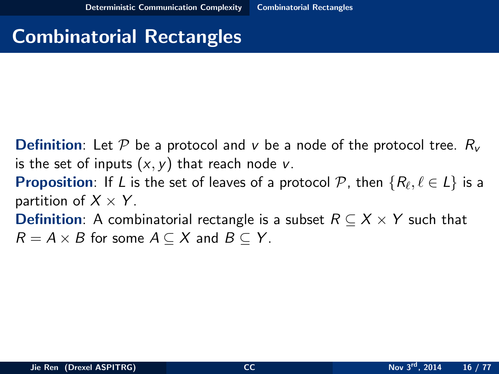## Combinatorial Rectangles

- **Definition:** Let P be a protocol and v be a node of the protocol tree.  $R_v$ is the set of inputs  $(x, y)$  that reach node v.
- **Proposition**: If L is the set of leaves of a protocol  $\mathcal{P}$ , then  $\{R_\ell, \ell \in L\}$  is a partition of  $X \times Y$ .
- <span id="page-15-0"></span>**Definition**: A combinatorial rectangle is a subset  $R \subseteq X \times Y$  such that  $R = A \times B$  for some  $A \subseteq X$  and  $B \subseteq Y$ .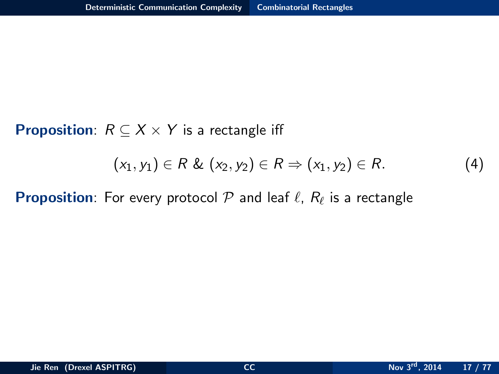**Proposition**:  $R \subseteq X \times Y$  is a rectangle iff

<span id="page-16-0"></span>
$$
(x_1, y_1) \in R \& (x_2, y_2) \in R \Rightarrow (x_1, y_2) \in R. \tag{4}
$$

**Proposition**: For every protocol  $\mathcal P$  and leaf  $\ell$ ,  $R_\ell$  is a rectangle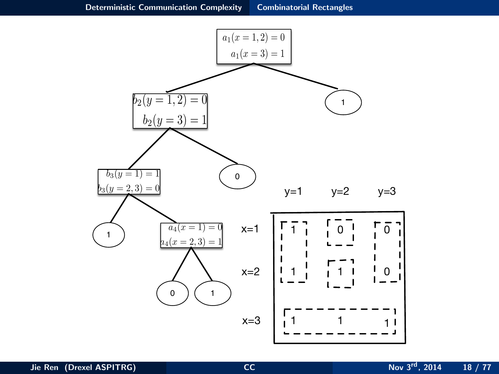<span id="page-17-0"></span>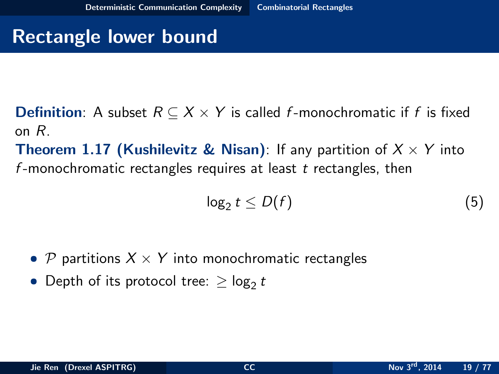## Rectangle lower bound

- **Definition:** A subset  $R \subseteq X \times Y$  is called f-monochromatic if f is fixed on R.
- **Theorem 1.17 (Kushilevitz & Nisan)**: If any partition of  $X \times Y$  into f-monochromatic rectangles requires at least  $t$  rectangles, then

<span id="page-18-0"></span>
$$
\log_2 t \le D(f) \tag{5}
$$

- P partitions  $X \times Y$  into monochromatic rectangles
- Depth of its protocol tree:  $\geq \log_2 t$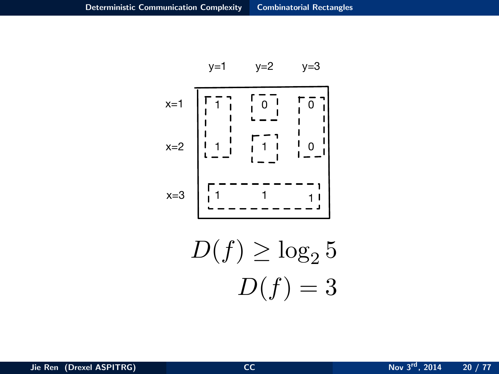$$
y=1 \qquad y=2 \qquad y=3
$$

$$
x=1
$$
\n
$$
\overline{r}
$$
\n
$$
\overline{r}
$$
\n
$$
\overline{r}
$$
\n
$$
\overline{r}
$$
\n
$$
\overline{r}
$$
\n
$$
\overline{r}
$$
\n
$$
\overline{r}
$$
\n
$$
\overline{r}
$$
\n
$$
\overline{r}
$$
\n
$$
\overline{r}
$$
\n
$$
\overline{r}
$$
\n
$$
\overline{r}
$$
\n
$$
\overline{r}
$$
\n
$$
\overline{r}
$$
\n
$$
\overline{r}
$$
\n
$$
\overline{r}
$$
\n
$$
\overline{r}
$$
\n
$$
\overline{r}
$$
\n
$$
\overline{r}
$$
\n
$$
\overline{r}
$$
\n
$$
\overline{r}
$$
\n
$$
\overline{r}
$$
\n
$$
\overline{r}
$$
\n
$$
\overline{r}
$$
\n
$$
\overline{r}
$$
\n
$$
\overline{r}
$$
\n
$$
\overline{r}
$$
\n
$$
\overline{r}
$$
\n
$$
\overline{r}
$$
\n
$$
\overline{r}
$$
\n
$$
\overline{r}
$$
\n
$$
\overline{r}
$$
\n
$$
\overline{r}
$$
\n
$$
\overline{r}
$$
\n
$$
\overline{r}
$$
\n
$$
\overline{r}
$$
\n
$$
\overline{r}
$$
\n
$$
\overline{r}
$$
\n
$$
\overline{r}
$$
\n
$$
\overline{r}
$$
\n
$$
\overline{r}
$$
\n
$$
\overline{r}
$$
\n
$$
\overline{r}
$$
\n
$$
\overline{r}
$$
\n
$$
\overline{r}
$$
\n
$$
\overline{r}
$$
\n
$$
\overline{r}
$$
\n
$$
\overline{r}
$$
\n
$$
\overline{r}
$$
\n
$$
\overline{r}
$$
\n
$$
\overline{r}
$$
\n
$$
\overline{r}
$$
\n
$$
\overline{r}
$$
\n
$$
\overline{r
$$

<span id="page-19-0"></span>
$$
D(f) \ge \log_2 5
$$
  

$$
D(f) = 3
$$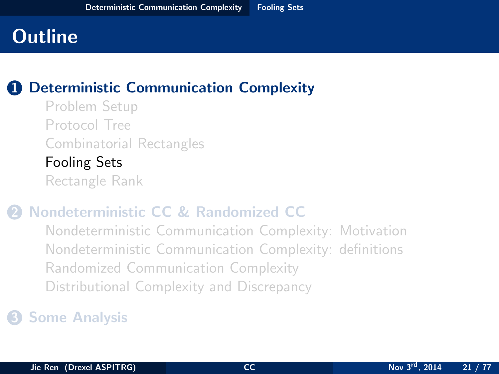## **1** [Deterministic Communication Complexity](#page-2-0)

[Problem Setup](#page-3-0) [Protocol Tree](#page-9-0) [Combinatorial Rectangles](#page-14-0) [Fooling Sets](#page-20-0) [Rectangle Rank](#page-26-0)

#### 2 [Nondeterministic CC & Randomized CC](#page-33-0)

<span id="page-20-0"></span>[Nondeterministic Communication Complexity: Motivation](#page-34-0) [Nondeterministic Communication Complexity: definitions](#page-41-0) [Randomized Communication Complexity](#page-46-0) [Distributional Complexity and Discrepancy](#page-57-0)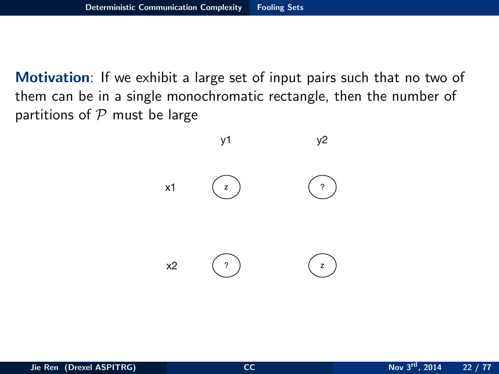Motivation: If we exhibit a large set of input pairs such that no two of them can be in a single monochromatic rectangle, then the number of partitions of  $P$  must be large

<span id="page-21-0"></span>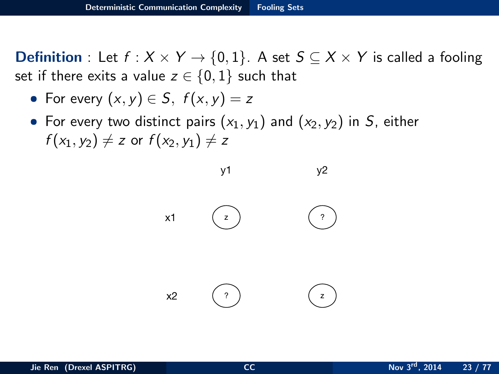**Definition** : Let  $f : X \times Y \rightarrow \{0,1\}$ . A set  $S \subseteq X \times Y$  is called a fooling set if there exits a value  $z \in \{0, 1\}$  such that

• For every 
$$
(x, y) \in S
$$
,  $f(x, y) = z$ 

• For every two distinct pairs  $(x_1, y_1)$  and  $(x_2, y_2)$  in S, either  $f(x_1, y_2) \neq z$  or  $f(x_2, y_1) \neq z$ 

<span id="page-22-0"></span>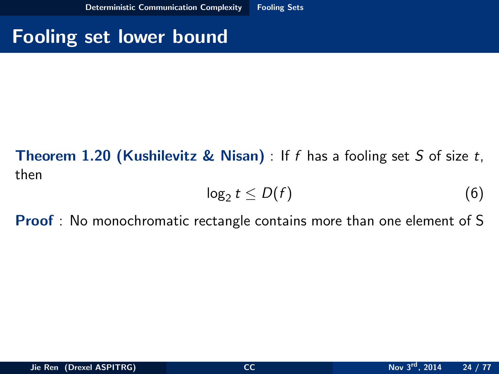## Fooling set lower bound

## **Theorem 1.20 (Kushilevitz & Nisan)** : If f has a fooling set S of size  $t$ , then

<span id="page-23-0"></span>
$$
\log_2 t \le D(f) \tag{6}
$$

Proof : No monochromatic rectangle contains more than one element of S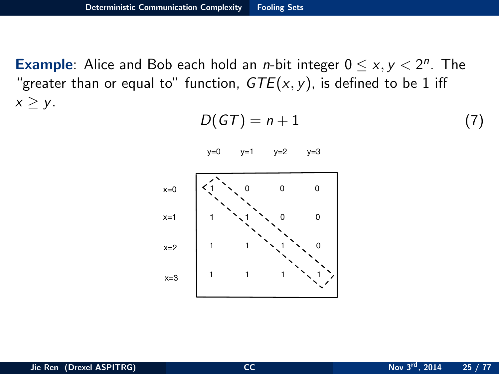**Example:** Alice and Bob each hold an *n*-bit integer  $0 \le x, y < 2^n$ . The "greater than or equal to" function,  $GTE(x, y)$ , is defined to be 1 iff  $x \geq y$ .

$$
D(GT) = n + 1 \tag{7}
$$

<span id="page-24-0"></span> $y=0$   $y=1$   $y=2$   $y=3$ 

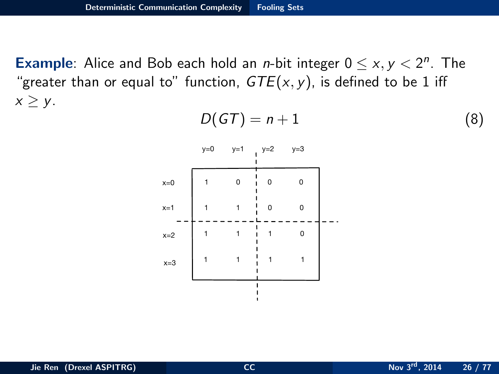**Example:** Alice and Bob each hold an *n*-bit integer  $0 \le x, y < 2^n$ . The "greater than or equal to" function,  $GTE(x, y)$ , is defined to be 1 iff  $x \geq y$ .

<span id="page-25-0"></span>
$$
D(GT) = n + 1 \tag{8}
$$

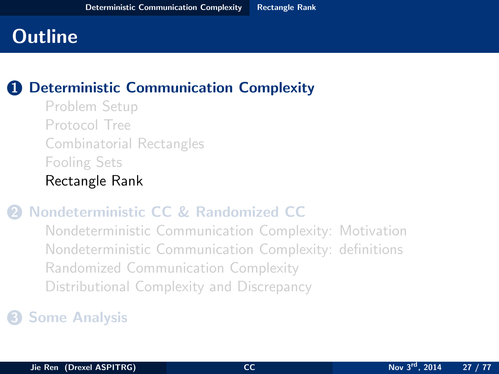## **1** [Deterministic Communication Complexity](#page-2-0)

[Problem Setup](#page-3-0) [Protocol Tree](#page-9-0) [Combinatorial Rectangles](#page-14-0) [Fooling Sets](#page-20-0) [Rectangle Rank](#page-26-0)

#### 2 [Nondeterministic CC & Randomized CC](#page-33-0)

<span id="page-26-0"></span>[Nondeterministic Communication Complexity: Motivation](#page-34-0) [Nondeterministic Communication Complexity: definitions](#page-41-0) [Randomized Communication Complexity](#page-46-0) [Distributional Complexity and Discrepancy](#page-57-0)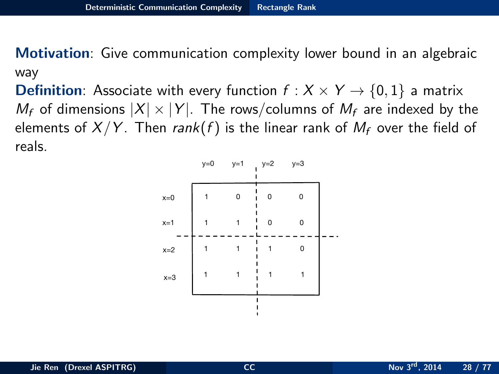Motivation: Give communication complexity lower bound in an algebraic way

**Definition**: Associate with every function  $f : X \times Y \rightarrow \{0, 1\}$  a matrix  $M_f$  of dimensions  $|X| \times |Y|$ . The rows/columns of  $M_f$  are indexed by the elements of  $X/Y$ . Then rank(f) is the linear rank of  $M_f$  over the field of reals.

<span id="page-27-0"></span>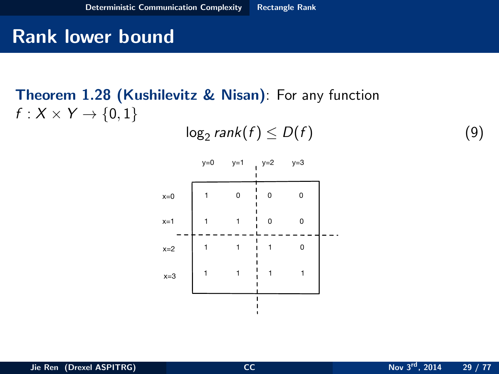## Rank lower bound

## Theorem 1.28 (Kushilevitz & Nisan): For any function  $f: X \times Y \rightarrow \{0,1\}$

<span id="page-28-0"></span>
$$
\log_2 rank(f) \le D(f) \tag{9}
$$

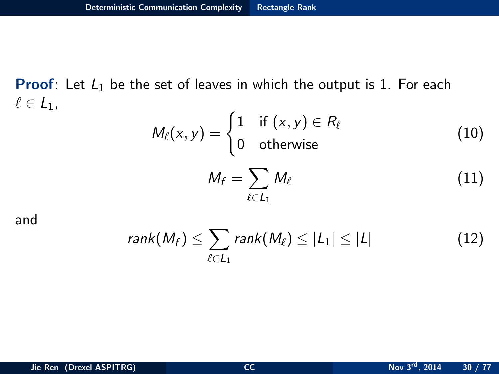**Proof:** Let  $L_1$  be the set of leaves in which the output is 1. For each  $\ell \in L_1$ ,

$$
M_{\ell}(x, y) = \begin{cases} 1 & \text{if } (x, y) \in R_{\ell} \\ 0 & \text{otherwise} \end{cases}
$$
 (10)  

$$
M_{f} = \sum_{\ell \in L_{1}} M_{\ell}
$$
 (11)

and

<span id="page-29-0"></span>
$$
rank(M_f) \leq \sum_{\ell \in L_1} rank(M_\ell) \leq |L_1| \leq |L| \qquad (12)
$$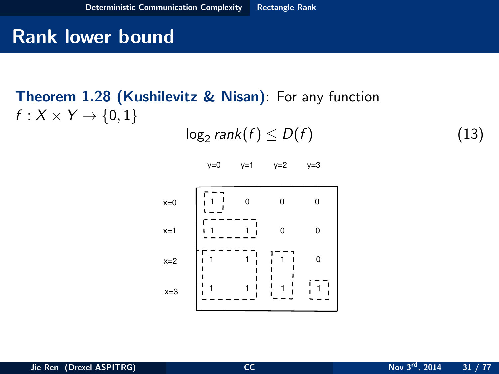## Rank lower bound

## Theorem 1.28 (Kushilevitz & Nisan): For any function  $f: X \times Y \rightarrow \{0,1\}$

$$
\log_2 rank(f) \le D(f) \tag{13}
$$

<span id="page-30-0"></span>
$$
y=0 \qquad y=1 \qquad y=2 \qquad y=3
$$

$$
x=0
$$
\n
$$
x=1
$$
\n
$$
x=2
$$
\n
$$
x=3
$$
\n
$$
x=1
$$
\n
$$
x=2
$$
\n
$$
x=2
$$
\n
$$
x=2
$$
\n
$$
x=3
$$
\n
$$
x=1
$$
\n
$$
x=2
$$
\n
$$
x=3
$$
\n
$$
x=1
$$
\n
$$
x=2
$$
\n
$$
x=3
$$
\n
$$
x=1
$$
\n
$$
x=2
$$
\n
$$
x=3
$$
\n
$$
x=2
$$
\n
$$
x=1
$$
\n
$$
x=2
$$
\n
$$
x=2
$$
\n
$$
x=2
$$
\n
$$
x=2
$$
\n
$$
x=2
$$
\n
$$
x=2
$$
\n
$$
x=2
$$
\n
$$
x=2
$$
\n
$$
x=2
$$
\n
$$
x=2
$$
\n
$$
x=2
$$
\n
$$
x=2
$$
\n
$$
x=2
$$
\n
$$
x=2
$$
\n
$$
x=2
$$
\n
$$
x=2
$$
\n
$$
x=2
$$
\n
$$
x=2
$$
\n
$$
x=2
$$
\n
$$
x=2
$$
\n
$$
x=2
$$
\n
$$
x=2
$$
\n
$$
x=2
$$
\n
$$
x=2
$$
\n
$$
x=2
$$
\n
$$
x=2
$$
\n
$$
x=2
$$
\n
$$
x=2
$$
\n
$$
x=2
$$
\n
$$
x=2
$$
\n
$$
x=2
$$
\n
$$
x=2
$$
\n
$$
x=2
$$
\n
$$
x=2
$$
\n
$$
x=2
$$
\n
$$
x=2
$$
\n
$$
x=2
$$
\n
$$
x=2
$$
\n
$$
x=2
$$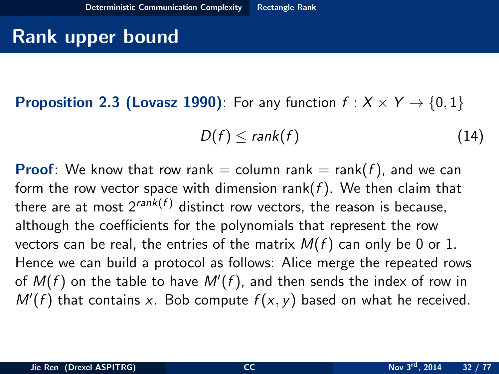## Rank upper bound

**Proposition 2.3 (Lovasz 1990):** For any function  $f : X \times Y \rightarrow \{0, 1\}$ 

<span id="page-31-0"></span>
$$
D(f) \leq rank(f) \tag{14}
$$

**Proof:** We know that row rank  $=$  column rank  $=$  rank( $f$ ), and we can form the row vector space with dimension rank( $f$ ). We then claim that there are at most  $2^{rank(f)}$  distinct row vectors, the reason is because, although the coefficients for the polynomials that represent the row vectors can be real, the entries of the matrix  $M(f)$  can only be 0 or 1. Hence we can build a protocol as follows: Alice merge the repeated rows of  $M(f)$  on the table to have  $M'(f)$ , and then sends the index of row in  $M'(f)$  that contains x. Bob compute  $f(x, y)$  based on what he received.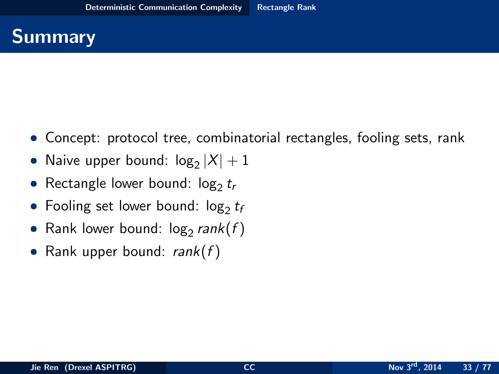

- Concept: protocol tree, combinatorial rectangles, fooling sets, rank
- $\bullet$  Naive upper bound:  $\log_2 |X| + 1$
- $\bullet$  Rectangle lower bound: log $_2$   $t_r$
- $\bullet$  Fooling set lower bound:  $\log_2 t_f$
- $\bullet$  Rank lower bound: log $_2$ *rank* $(f)$
- <span id="page-32-0"></span>• Rank upper bound:  $rank(f)$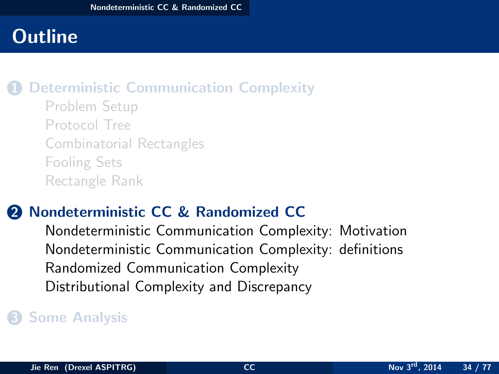## **[Deterministic Communication Complexity](#page-2-0)**

[Problem Setup](#page-3-0) [Protocol Tree](#page-9-0) [Combinatorial Rectangles](#page-14-0) [Fooling Sets](#page-20-0) [Rectangle Rank](#page-26-0)

## **2** [Nondeterministic CC & Randomized CC](#page-33-0)

<span id="page-33-0"></span>[Nondeterministic Communication Complexity: Motivation](#page-34-0) [Nondeterministic Communication Complexity: definitions](#page-41-0) [Randomized Communication Complexity](#page-46-0) [Distributional Complexity and Discrepancy](#page-57-0)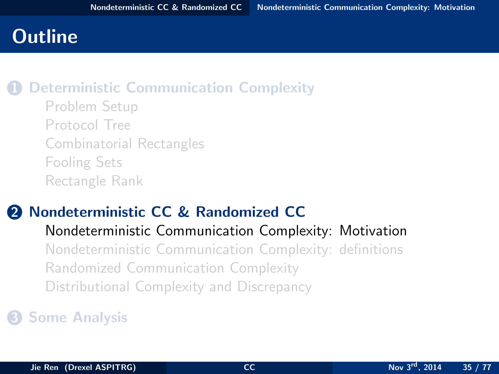#### **[Deterministic Communication Complexity](#page-2-0)**

[Problem Setup](#page-3-0) [Protocol Tree](#page-9-0) [Combinatorial Rectangles](#page-14-0) [Fooling Sets](#page-20-0) [Rectangle Rank](#page-26-0)

## **2** [Nondeterministic CC & Randomized CC](#page-33-0)

#### [Nondeterministic Communication Complexity: Motivation](#page-34-0)

<span id="page-34-0"></span>[Nondeterministic Communication Complexity: definitions](#page-41-0) [Randomized Communication Complexity](#page-46-0) [Distributional Complexity and Discrepancy](#page-57-0)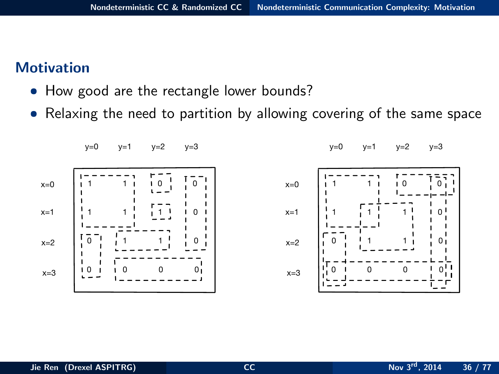#### **Motivation**

- How good are the rectangle lower bounds?
- Relaxing the need to partition by allowing covering of the same space

<span id="page-35-0"></span>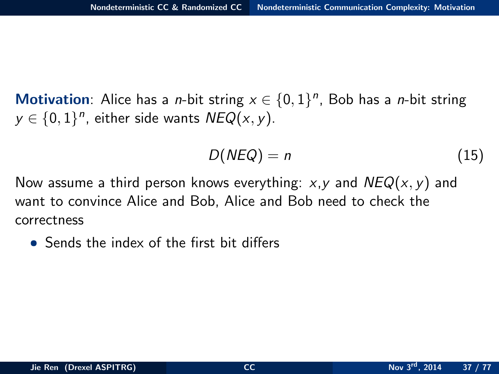Motivation: Alice has a *n*-bit string  $x \in \{0,1\}^n$ , Bob has a *n*-bit string  $y \in \{0,1\}^n$ , either side wants  $\mathsf{NEQ}(x, y)$ .

<span id="page-36-0"></span>
$$
D(NEQ) = n \tag{15}
$$

Now assume a third person knows everything:  $x, y$  and  $NEQ(x, y)$  and want to convince Alice and Bob, Alice and Bob need to check the correctness

• Sends the index of the first bit differs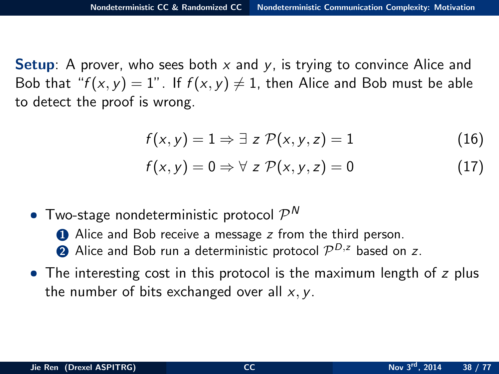**Setup:** A prover, who sees both  $x$  and  $y$ , is trying to convince Alice and Bob that " $f(x, y) = 1$ ". If  $f(x, y) \neq 1$ , then Alice and Bob must be able to detect the proof is wrong.

$$
f(x, y) = 1 \Rightarrow \exists z \mathcal{P}(x, y, z) = 1 \tag{16}
$$

<span id="page-37-0"></span>
$$
f(x,y) = 0 \Rightarrow \forall z \mathcal{P}(x,y,z) = 0 \tag{17}
$$

• Two-stage nondeterministic protocol  $\mathcal{P}^N$ 

**1** Alice and Bob receive a message z from the third person.

- **2** Alice and Bob run a deterministic protocol  $\mathcal{P}^{D,z}$  based on z.
- The interesting cost in this protocol is the maximum length of z plus the number of bits exchanged over all  $x, y$ .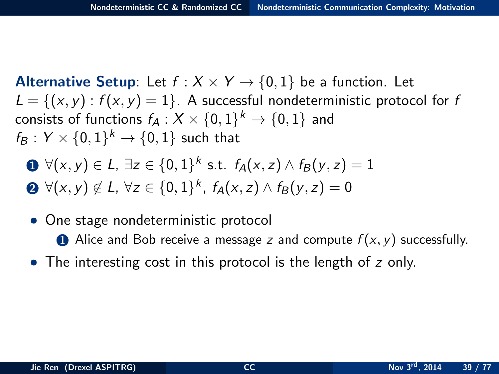**Alternative Setup:** Let  $f : X \times Y \rightarrow \{0,1\}$  be a function. Let  $L = \{(x, y) : f(x, y) = 1\}$ . A successful nondeterministic protocol for f consists of functions  $f_A: X \times \{0,1\}^k \to \{0,1\}$  and  $f_B: Y \times \{0,1\}^k \rightarrow \{0,1\}$  such that

**①** 
$$
\forall (x, y) \in L, \exists z \in \{0, 1\}^k \text{ s.t. } f_A(x, z) \land f_B(y, z) = 1
$$
  
**②**  $\forall (x, y) \notin L, \forall z \in \{0, 1\}^k, f_A(x, z) \land f_B(y, z) = 0$ 

- One stage nondeterministic protocol
	- **1** Alice and Bob receive a message z and compute  $f(x, y)$  successfully.
- <span id="page-38-0"></span>• The interesting cost in this protocol is the length of z only.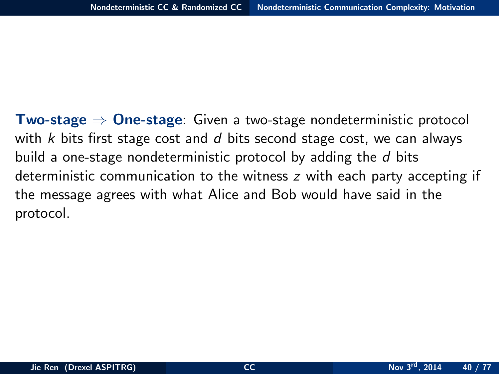<span id="page-39-0"></span>**Two-stage**  $\Rightarrow$  **One-stage: Given a two-stage nondeterministic protocol** with k bits first stage cost and  $d$  bits second stage cost, we can always build a one-stage nondeterministic protocol by adding the d bits deterministic communication to the witness z with each party accepting if the message agrees with what Alice and Bob would have said in the protocol.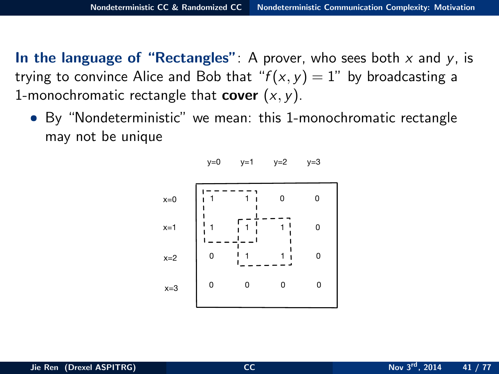In the language of "Rectangles": A prover, who sees both  $x$  and  $y$ , is trying to convince Alice and Bob that " $f(x, y) = 1$ " by broadcasting a 1-monochromatic rectangle that **cover**  $(x, y)$ .

• By "Nondeterministic" we mean: this 1-monochromatic rectangle may not be unique

<span id="page-40-0"></span> $y=0$   $y=1$   $y=2$   $y=3$ 

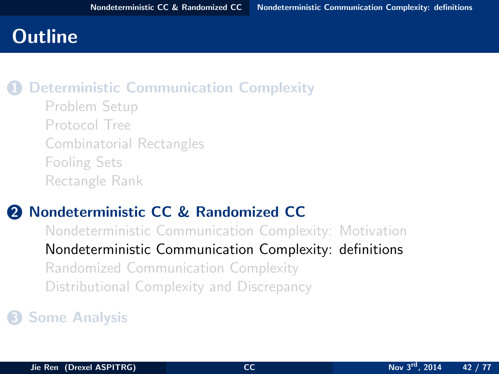# **Outline**

### **[Deterministic Communication Complexity](#page-2-0)**

[Problem Setup](#page-3-0) [Protocol Tree](#page-9-0) [Combinatorial Rectangles](#page-14-0) [Fooling Sets](#page-20-0) [Rectangle Rank](#page-26-0)

### 2 [Nondeterministic CC & Randomized CC](#page-33-0)

<span id="page-41-0"></span>[Nondeterministic Communication Complexity: Motivation](#page-34-0) [Nondeterministic Communication Complexity: definitions](#page-41-0) [Randomized Communication Complexity](#page-46-0) [Distributional Complexity and Discrepancy](#page-57-0)

### **3** [Some Analysis](#page-62-0)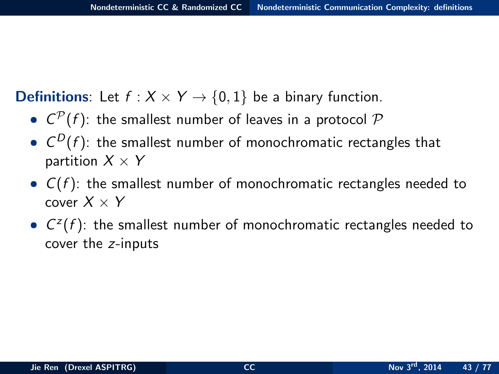**Definitions**: Let  $f : X \times Y \rightarrow \{0,1\}$  be a binary function.

- $C^{\mathcal{P}}(f)$ : the smallest number of leaves in a protocol  $\mathcal P$
- $\bullet$   $C^D(f)$ : the smallest number of monochromatic rectangles that partition  $X \times Y$
- $C(f)$ : the smallest number of monochromatic rectangles needed to cover  $X \times Y$
- <span id="page-42-0"></span>•  $C^{z}(f)$ : the smallest number of monochromatic rectangles needed to cover the z-inputs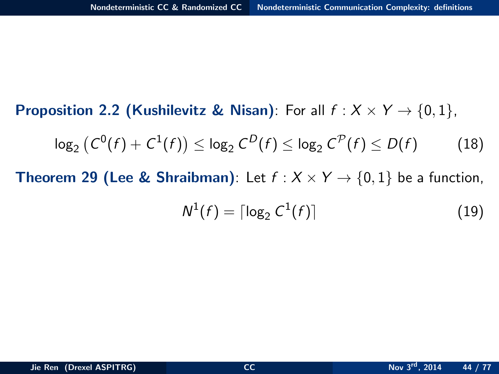**Proposition 2.2 (Kushilevitz & Nisan)**: For all  $f : X \times Y \rightarrow \{0, 1\}$ ,

$$
\log_2 (C^0(f) + C^1(f)) \leq \log_2 C^D(f) \leq \log_2 C^{\mathcal{P}}(f) \leq D(f)
$$
 (18)

**Theorem 29 (Lee & Shraibman)**: Let  $f : X \times Y \rightarrow \{0, 1\}$  be a function,

<span id="page-43-0"></span>
$$
N^1(f) = \lceil \log_2 C^1(f) \rceil \tag{19}
$$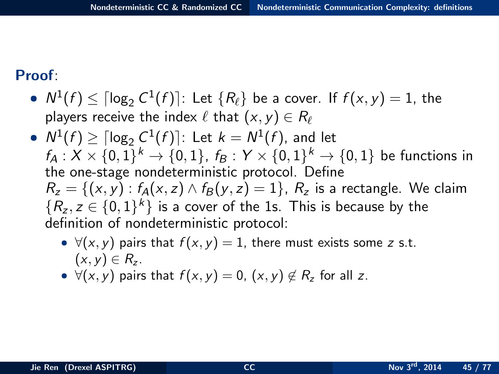Proof:

- $N^1(f) \leq \lceil \log_2 C^1(f) \rceil$ : Let  $\{R_\ell\}$  be a cover. If  $f(x, y) = 1$ , the players receive the index  $\ell$  that  $(x, y) \in R_\ell$
- <span id="page-44-0"></span>•  $N^1(f) \geq \lceil \log_2 C^1(f) \rceil$ : Let  $k = N^1(f)$ , and let  $f_A: X \times \{0,1\}^k \to \{0,1\}, f_B: Y \times \{0,1\}^k \to \{0,1\}$  be functions in the one-stage nondeterministic protocol. Define  $R_z = \{(x, y) : f_A(x, z) \wedge f_B(y, z) = 1\}$ ,  $R_z$  is a rectangle. We claim  $\{R_z, z \in \{0,1\}^k\}$  is a cover of the 1s. This is because by the definition of nondeterministic protocol:
	- $\forall (x, y)$  pairs that  $f(x, y) = 1$ , there must exists some z s.t.  $(x, y) \in R_{z}$ .
	- $\forall (x, y)$  pairs that  $f(x, y) = 0$ ,  $(x, y) \notin R_z$  for all z.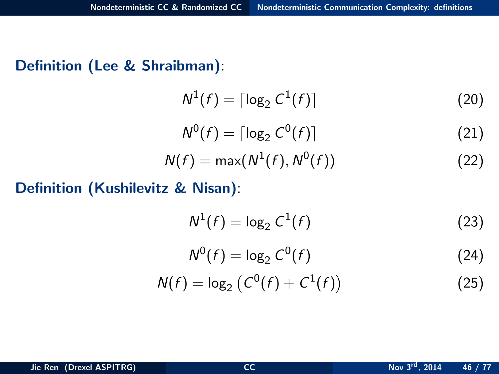#### Definition (Lee & Shraibman):

$$
N^1(f) = \lceil \log_2 C^1(f) \rceil \tag{20}
$$

$$
N^0(f) = \lceil \log_2 C^0(f) \rceil \tag{21}
$$

$$
N(f) = \max(N^1(f), N^0(f))
$$
\n(22)

### Definition (Kushilevitz & Nisan):

$$
N^1(f) = \log_2 C^1(f) \tag{23}
$$

<span id="page-45-0"></span>
$$
N^0(f) = \log_2 C^0(f) \tag{24}
$$

$$
N(f) = \log_2 (C^0(f) + C^1(f))
$$
 (25)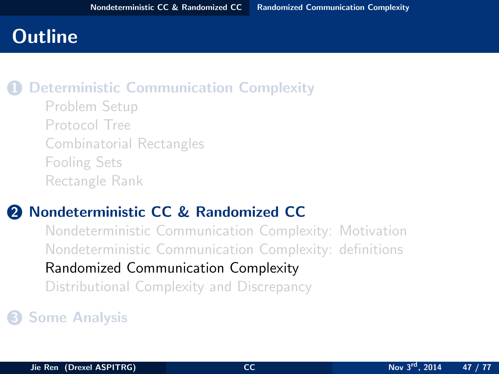## **Outline**

### **[Deterministic Communication Complexity](#page-2-0)**

[Problem Setup](#page-3-0) [Protocol Tree](#page-9-0) [Combinatorial Rectangles](#page-14-0) [Fooling Sets](#page-20-0) [Rectangle Rank](#page-26-0)

### 2 [Nondeterministic CC & Randomized CC](#page-33-0)

<span id="page-46-0"></span>[Nondeterministic Communication Complexity: Motivation](#page-34-0) [Nondeterministic Communication Complexity: definitions](#page-41-0) [Randomized Communication Complexity](#page-46-0) [Distributional Complexity and Discrepancy](#page-57-0)

### **3** [Some Analysis](#page-62-0)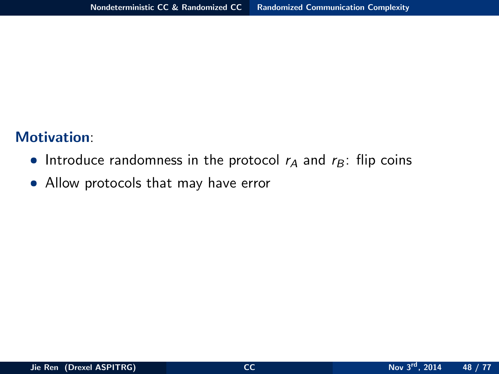#### Motivation:

- Introduce randomness in the protocol  $r_A$  and  $r_B$ : flip coins
- <span id="page-47-0"></span>• Allow protocols that may have error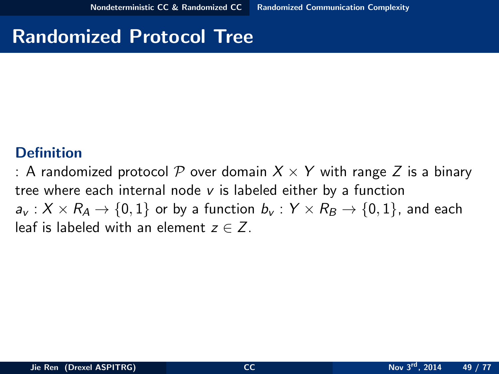## Randomized Protocol Tree

#### **Definition**

<span id="page-48-0"></span>: A randomized protocol P over domain  $X \times Y$  with range Z is a binary tree where each internal node  $v$  is labeled either by a function  $a_v: X \times R_A \rightarrow \{0,1\}$  or by a function  $b_v: Y \times R_B \rightarrow \{0,1\}$ , and each leaf is labeled with an element  $z \in Z$ .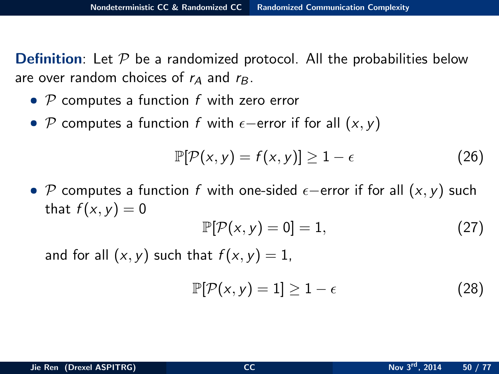**Definition:** Let  $\mathcal P$  be a randomized protocol. All the probabilities below are over random choices of  $r_A$  and  $r_B$ .

- $P$  computes a function f with zero error
- P computes a function f with  $\epsilon$ -error if for all  $(x, y)$

$$
\mathbb{P}[\mathcal{P}(x,y) = f(x,y)] \ge 1 - \epsilon \tag{26}
$$

• P computes a function f with one-sided  $\epsilon$ -error if for all  $(x, y)$  such that  $f(x, y) = 0$ 

$$
\mathbb{P}[\mathcal{P}(x,y)=0]=1,\tag{27}
$$

and for all  $(x, y)$  such that  $f(x, y) = 1$ ,

<span id="page-49-0"></span>
$$
\mathbb{P}[\mathcal{P}(x,y)=1]\geq 1-\epsilon \tag{28}
$$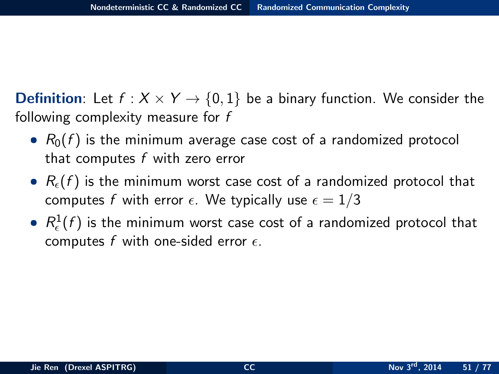**Definition:** Let  $f : X \times Y \rightarrow \{0,1\}$  be a binary function. We consider the following complexity measure for f

- $R_0(f)$  is the minimum average case cost of a randomized protocol that computes  $f$  with zero error
- $R_{\epsilon}(f)$  is the minimum worst case cost of a randomized protocol that computes f with error  $\epsilon$ . We typically use  $\epsilon = 1/3$
- <span id="page-50-0"></span> $\bullet$   $R_{\epsilon}^{1}(f)$  is the minimum worst case cost of a randomized protocol that computes f with one-sided error  $\epsilon$ .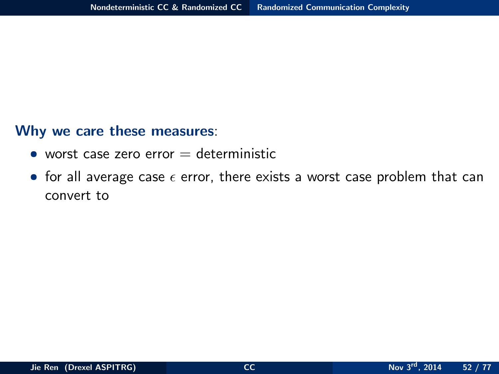#### Why we care these measures:

- worst case zero error  $=$  deterministic
- <span id="page-51-0"></span>• for all average case  $\epsilon$  error, there exists a worst case problem that can convert to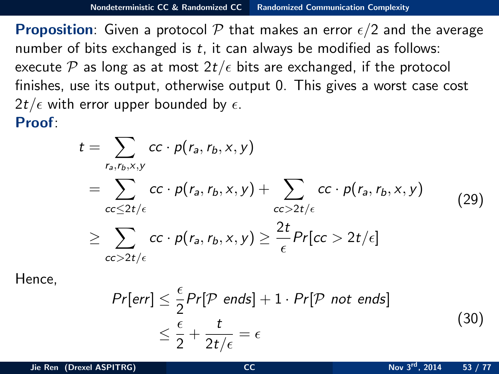**Proposition:** Given a protocol P that makes an error  $\epsilon/2$  and the average number of bits exchanged is  $t$ , it can always be modified as follows: execute P as long as at most  $2t/\epsilon$  bits are exchanged, if the protocol finishes, use its output, otherwise output 0. This gives a worst case cost  $2t/\epsilon$  with error upper bounded by  $\epsilon$ . Proof:

$$
t = \sum_{r_a, r_b, x, y} cc \cdot p(r_a, r_b, x, y)
$$
  
= 
$$
\sum_{cc \leq 2t/\epsilon} cc \cdot p(r_a, r_b, x, y) + \sum_{cc > 2t/\epsilon} cc \cdot p(r_a, r_b, x, y)
$$
  

$$
\geq \sum_{cc > 2t/\epsilon} cc \cdot p(r_a, r_b, x, y) \geq \frac{2t}{\epsilon} Pr[cc > 2t/\epsilon]
$$
 (29)

Hence,

<span id="page-52-0"></span>
$$
Pr[err] \leq \frac{\epsilon}{2} Pr[P \text{ ends}] + 1 \cdot Pr[P \text{ not ends}]
$$
  

$$
\leq \frac{\epsilon}{2} + \frac{t}{2t/\epsilon} = \epsilon
$$
 (30)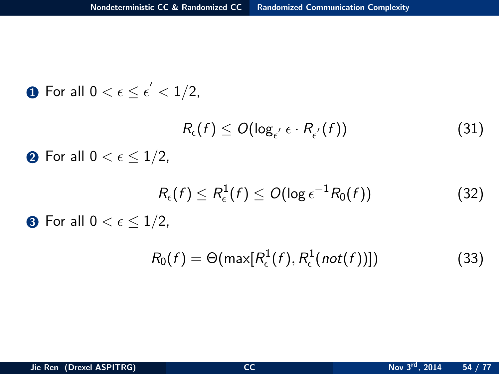\n- **①** For all 
$$
0 < \epsilon \leq \epsilon' < 1/2
$$
,  $R_{\epsilon}(f) \leq O(\log_{\epsilon'} \epsilon \cdot R_{\epsilon'}(f))$  (31)
\n- **②** For all  $0 < \epsilon \leq 1/2$ ,  $R_{\epsilon}(f) \leq R_{\epsilon}^1(f) \leq O(\log \epsilon^{-1} R_0(f))$  (32)
\n- **③** For all  $0 < \epsilon \leq 1/2$ ,  $\epsilon' = \frac{1}{2}$ .
\n

<span id="page-53-0"></span>
$$
R_0(f) = \Theta(\max[R_{\epsilon}^1(f), R_{\epsilon}^1(not(f))])
$$
\n(33)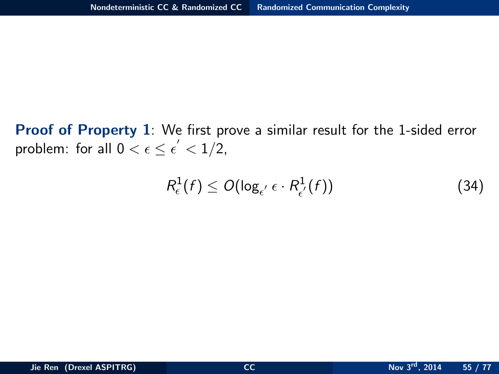Proof of Property 1: We first prove a similar result for the 1-sided error problem: for all  $0 < \epsilon \leq \epsilon' < 1/2$ ,

<span id="page-54-0"></span>
$$
R_{\epsilon}^{1}(f) \le O(\log_{\epsilon'} \epsilon \cdot R_{\epsilon'}^{1}(f))
$$
\n(34)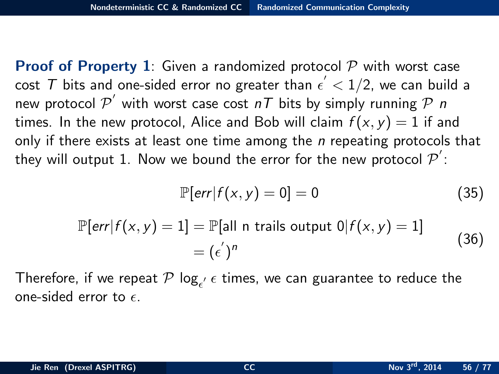**Proof of Property 1:** Given a randomized protocol  $\mathcal{P}$  with worst case cost  ${\cal T}$  bits and one-sided error no greater than  $\epsilon^{'} < 1/2$ , we can build a new protocol  $\mathcal{P}'$  with worst case cost  $n\tau$  bits by simply running  $\mathcal{P}$  n times. In the new protocol, Alice and Bob will claim  $f(x, y) = 1$  if and only if there exists at least one time among the  $n$  repeating protocols that they will output  $1$ . Now we bound the error for the new protocol  $\mathcal{P}^{'}$ :

<span id="page-55-0"></span>
$$
\mathbb{P}[\text{err}|f(x,y)=0]=0 \tag{35}
$$

$$
\mathbb{P}[\text{err}|f(x,y) = 1] = \mathbb{P}[\text{all n trials output 0}|f(x,y) = 1] \\
= (\epsilon^{'})^n
$$
\n(36)

Therefore, if we repeat  $\mathcal P$  log $_{\epsilon'}$   $\epsilon$  times, we can guarantee to reduce the one-sided error to  $\epsilon$ .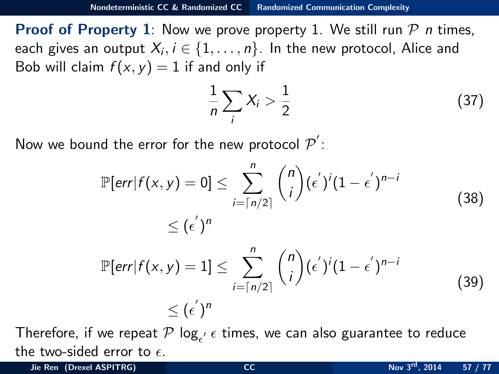**Proof of Property 1**: Now we prove property 1. We still run  $\mathcal{P}$  n times, each gives an output  $X_i, i \in \{1, \ldots, n\}$ . In the new protocol, Alice and Bob will claim  $f(x, y) = 1$  if and only if

<span id="page-56-0"></span>
$$
\frac{1}{n}\sum_{i}X_{i} > \frac{1}{2} \tag{37}
$$

Now we bound the error for the new protocol  $\mathcal{P}^{'}$ :

$$
\mathbb{P}[\text{err}|f(x,y) = 0] \le \sum_{i=\lceil n/2 \rceil}^{n} {n \choose i} (\epsilon')^{i} (1 - \epsilon')^{n-i}
$$
\n
$$
\le (\epsilon')^{n}
$$
\n
$$
\mathbb{P}[\text{err}|f(x,y) = 1] \le \sum_{i=\lceil n/2 \rceil}^{n} {n \choose i} (\epsilon')^{i} (1 - \epsilon')^{n-i}
$$
\n
$$
\le (\epsilon')^{n}
$$
\n(39)

Therefore, if we repeat  $\mathcal P$  log $_{\epsilon'}$   $\epsilon$  times, we can also guarantee to reduce the two-sided error to  $\epsilon$ .

Jie Ren (Drexel ASPITRG) [CC](#page-0-0) Nov 3<sup>rd</sup>, 2014 57 / 77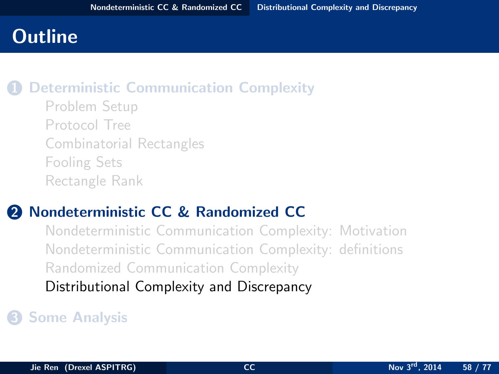## **Outline**

### **[Deterministic Communication Complexity](#page-2-0)**

[Problem Setup](#page-3-0) [Protocol Tree](#page-9-0) [Combinatorial Rectangles](#page-14-0) [Fooling Sets](#page-20-0) [Rectangle Rank](#page-26-0)

### 2 [Nondeterministic CC & Randomized CC](#page-33-0)

<span id="page-57-0"></span>[Nondeterministic Communication Complexity: Motivation](#page-34-0) [Nondeterministic Communication Complexity: definitions](#page-41-0) [Randomized Communication Complexity](#page-46-0) [Distributional Complexity and Discrepancy](#page-57-0)

### **63** [Some Analysis](#page-62-0)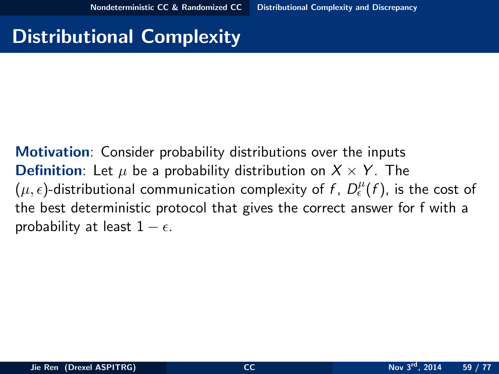# Distributional Complexity

<span id="page-58-0"></span>Motivation: Consider probability distributions over the inputs **Definition**: Let  $\mu$  be a probability distribution on  $X \times Y$ . The  $(\mu, \epsilon)$ -distributional communication complexity of f,  $D_{\epsilon}^{\mu}(f)$ , is the cost of the best deterministic protocol that gives the correct answer for f with a probability at least  $1 - \epsilon$ .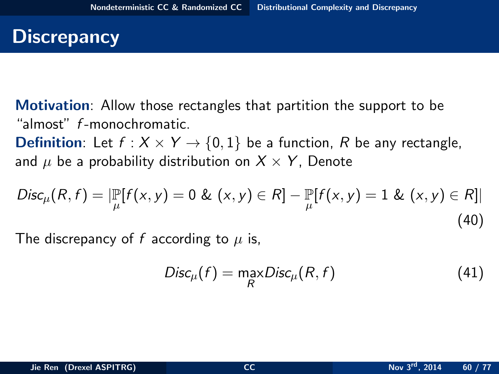## **Discrepancy**

Motivation: Allow those rectangles that partition the support to be "almost" f -monochromatic.

**Definition**: Let  $f : X \times Y \rightarrow \{0,1\}$  be a function, R be any rectangle, and  $\mu$  be a probability distribution on  $X \times Y$ , Denote

$$
Disc_{\mu}(R, f) = |\mathbb{P}_{\mu}[f(x, y) = 0 \& (x, y) \in R] - \mathbb{P}_{\mu}[f(x, y) = 1 \& (x, y) \in R]|
$$
\n(40)

The discrepancy of f according to  $\mu$  is,

<span id="page-59-0"></span>
$$
Disc_{\mu}(f) = \max_{R} Disc_{\mu}(R, f) \tag{41}
$$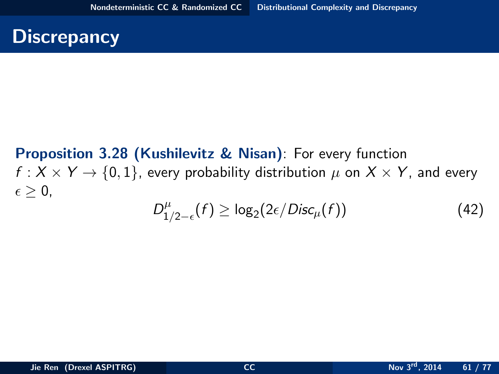## **Discrepancy**

#### <span id="page-60-0"></span>Proposition 3.28 (Kushilevitz & Nisan): For every function  $f: X \times Y \rightarrow \{0, 1\}$ , every probability distribution  $\mu$  on  $X \times Y$ , and every  $\epsilon > 0$ .  $D_1^{\mu}$  $\int_{1/2-\epsilon}^{\mu} (f) \geq \log_2(2\epsilon/Disc_\mu(f))$  (42)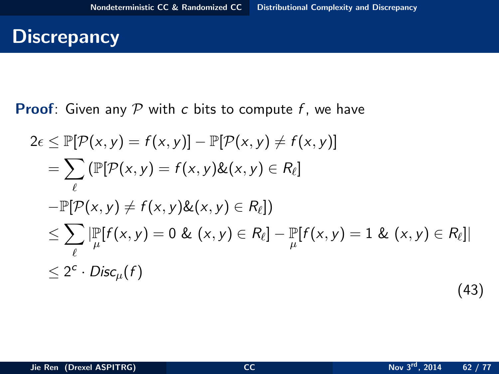## **Discrepancy**

**Proof:** Given any  $P$  with c bits to compute f, we have

<span id="page-61-0"></span>
$$
2\epsilon \le \mathbb{P}[\mathcal{P}(x, y) = f(x, y)] - \mathbb{P}[\mathcal{P}(x, y) \ne f(x, y)]
$$
  
\n
$$
= \sum_{\ell} \left( \mathbb{P}[\mathcal{P}(x, y) = f(x, y) \& (x, y) \in R_{\ell} \right]
$$
  
\n
$$
- \mathbb{P}[\mathcal{P}(x, y) \ne f(x, y) \& (x, y) \in R_{\ell}]
$$
  
\n
$$
\le \sum_{\ell} |\mathbb{P}[f(x, y) = 0 \& (x, y) \in R_{\ell}] - \mathbb{P}[f(x, y) = 1 \& (x, y) \in R_{\ell}]|
$$
  
\n
$$
\le 2^{c} \cdot \text{Disc}_{\mu}(f)
$$
\n(43)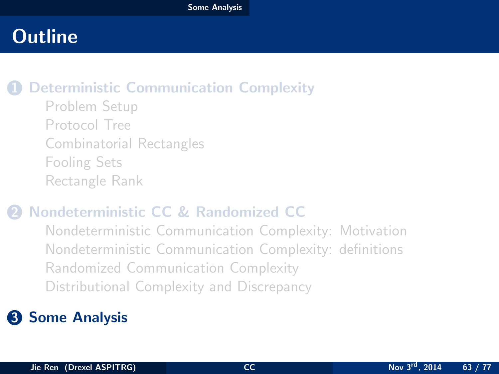# **Outline**

### **[Deterministic Communication Complexity](#page-2-0)**

[Problem Setup](#page-3-0) [Protocol Tree](#page-9-0) [Combinatorial Rectangles](#page-14-0) [Fooling Sets](#page-20-0) [Rectangle Rank](#page-26-0)

### 2 [Nondeterministic CC & Randomized CC](#page-33-0)

<span id="page-62-0"></span>[Nondeterministic Communication Complexity: Motivation](#page-34-0) [Nondeterministic Communication Complexity: definitions](#page-41-0) [Randomized Communication Complexity](#page-46-0) [Distributional Complexity and Discrepancy](#page-57-0)

## **3** [Some Analysis](#page-62-0)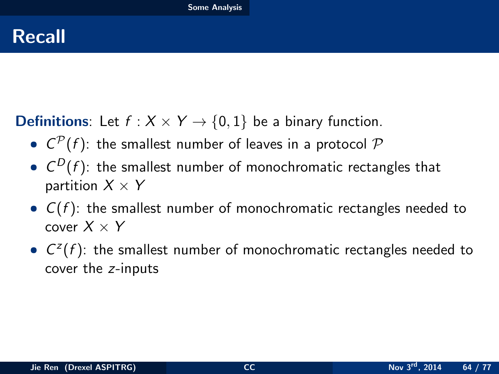## Recall

**Definitions:** Let  $f : X \times Y \rightarrow \{0, 1\}$  be a binary function.

- $C^{\mathcal{P}}(f)$ : the smallest number of leaves in a protocol  $\mathcal P$
- $\bullet$   $C^D(f)$ : the smallest number of monochromatic rectangles that partition  $X \times Y$
- $C(f)$ : the smallest number of monochromatic rectangles needed to cover  $X \times Y$
- <span id="page-63-0"></span>•  $C^{z}(f)$ : the smallest number of monochromatic rectangles needed to cover the z-inputs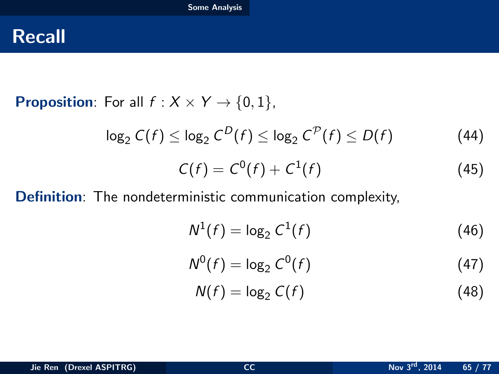## Recall

**Proposition:** For all  $f : X \times Y \rightarrow \{0, 1\}$ ,

$$
\log_2 C(f) \leq \log_2 C^D(f) \leq \log_2 C^{\mathcal{P}}(f) \leq D(f) \tag{44}
$$

$$
C(f) = C^{0}(f) + C^{1}(f)
$$
 (45)

Definition: The nondeterministic communication complexity,

$$
N^1(f) = \log_2 C^1(f) \tag{46}
$$

$$
N^0(f) = \log_2 C^0(f) \tag{47}
$$

<span id="page-64-0"></span>
$$
N(f) = \log_2 C(f) \tag{48}
$$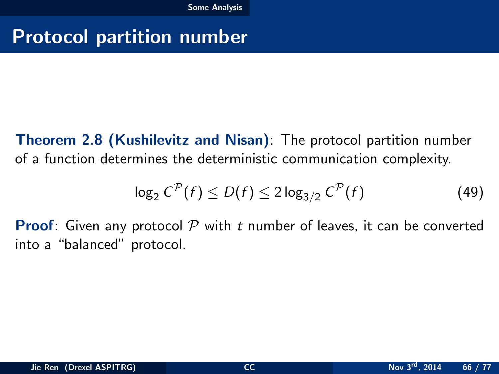# Protocol partition number

Theorem 2.8 (Kushilevitz and Nisan): The protocol partition number of a function determines the deterministic communication complexity.

<span id="page-65-0"></span>
$$
\log_2 C^{\mathcal{P}}(f) \le D(f) \le 2 \log_{3/2} C^{\mathcal{P}}(f)
$$
 (49)

**Proof:** Given any protocol  $P$  with t number of leaves, it can be converted into a "balanced" protocol.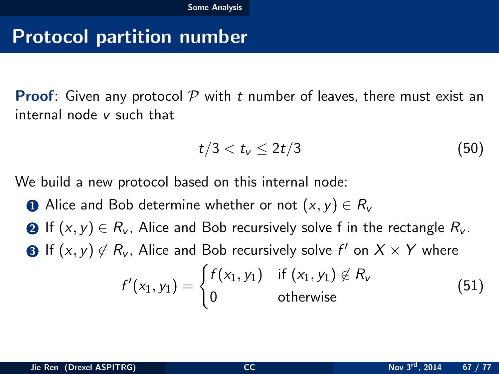## Protocol partition number

**Proof:** Given any protocol  $P$  with t number of leaves, there must exist an internal node v such that

<span id="page-66-0"></span>
$$
t/3 < t_{\rm v} \leq 2t/3 \tag{50}
$$

We build a new protocol based on this internal node:

■ Alice and Bob determine whether or not  $(x, y) \in R_v$ **2** If  $(x, y) \in R_v$ , Alice and Bob recursively solve f in the rectangle  $R_v$ . **3** If  $(x, y) \notin R_v$ , Alice and Bob recursively solve  $f'$  on  $X \times Y$  where  $f'(x_1, y_1) = \begin{cases} f(x_1, y_1) & \text{if } (x_1, y_1) \notin R_v \end{cases}$ 0 otherwise (51)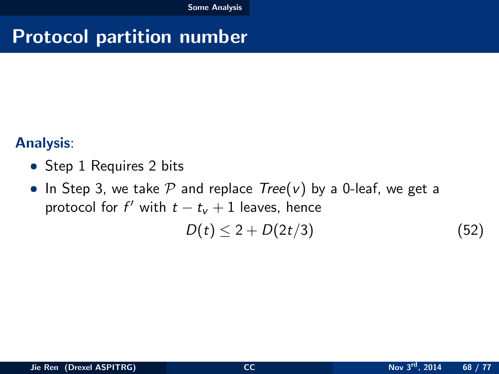# Protocol partition number

#### Analysis:

- Step 1 Requires 2 bits
- In Step 3, we take  $P$  and replace  $Tree(v)$  by a 0-leaf, we get a protocol for  $f'$  with  $t - t_v + 1$  leaves, hence

<span id="page-67-0"></span>
$$
D(t) \leq 2 + D(2t/3) \tag{52}
$$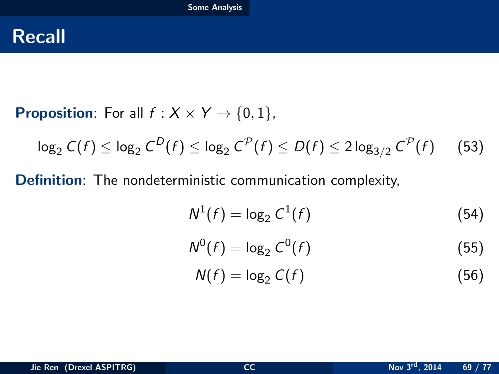## Recall

**Proposition:** For all  $f : X \times Y \rightarrow \{0, 1\}$ ,

$$
\log_2 C(f) \leq \log_2 C^D(f) \leq \log_2 C^{\mathcal{P}}(f) \leq D(f) \leq 2 \log_{3/2} C^{\mathcal{P}}(f) \qquad (53)
$$

Definition: The nondeterministic communication complexity,

$$
N^1(f) = \log_2 C^1(f) \tag{54}
$$

$$
N^0(f) = \log_2 C^0(f) \tag{55}
$$

<span id="page-68-0"></span>
$$
N(f) = \log_2 C(f) \tag{56}
$$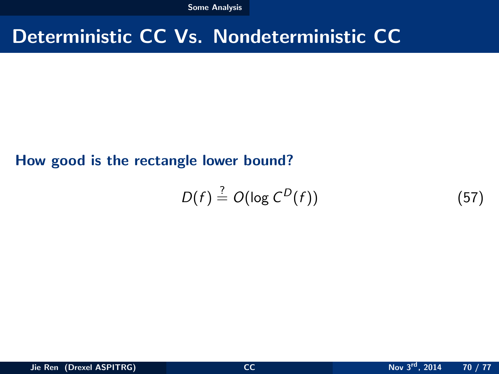[Some Analysis](#page-69-0)

# Deterministic CC Vs. Nondeterministic CC

#### How good is the rectangle lower bound?

<span id="page-69-0"></span>
$$
D(f) \stackrel{?}{=} O(\log C^D(f))
$$
 (57)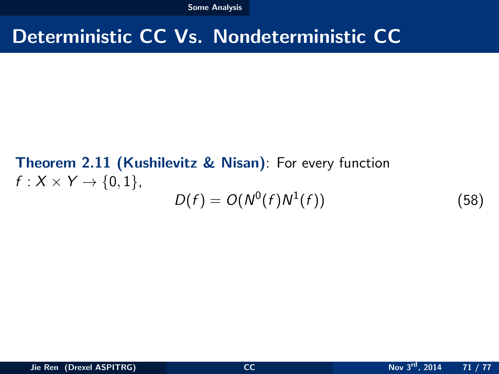[Some Analysis](#page-70-0)

## Deterministic CC Vs. Nondeterministic CC

### Theorem 2.11 (Kushilevitz & Nisan): For every function  $f: X \times Y \rightarrow \{0,1\},\$  $D(f) = O(N^{0}(f)N^{1})$

<span id="page-70-0"></span> $(58)$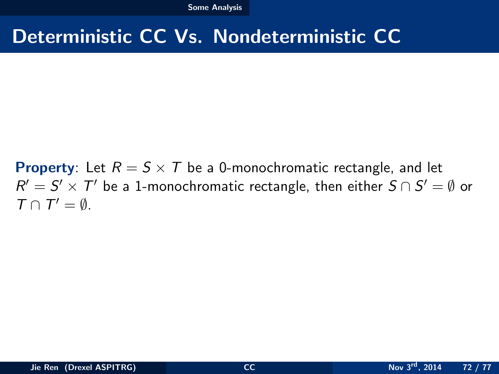# Deterministic CC Vs. Nondeterministic CC

<span id="page-71-0"></span>**Property**: Let  $R = S \times T$  be a 0-monochromatic rectangle, and let  $R' = S' \times T'$  be a 1-monochromatic rectangle, then either  $S \cap S' = \emptyset$  or  $T \cap T' = \emptyset.$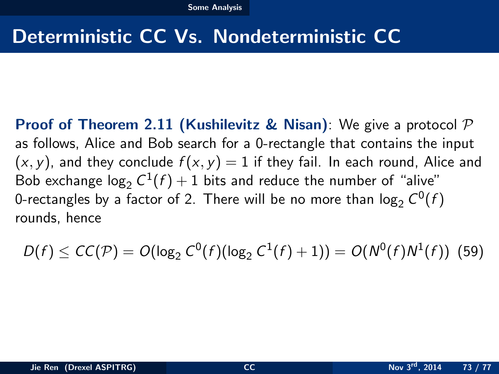### Deterministic CC Vs. Nondeterministic CC

**Proof of Theorem 2.11 (Kushilevitz & Nisan):** We give a protocol  $\mathcal{P}$ as follows, Alice and Bob search for a 0-rectangle that contains the input  $(x, y)$ , and they conclude  $f(x, y) = 1$  if they fail. In each round, Alice and Bob exchange log $_2 C^1(f) + 1$  bits and reduce the number of "alive" 0-rectangles by a factor of 2. There will be no more than  $\log_2 C^0(f)$ rounds, hence

<span id="page-72-0"></span>
$$
D(f) \le CC(\mathcal{P}) = O(\log_2 C^0(f)(\log_2 C^1(f) + 1)) = O(N^0(f)N^1(f))
$$
 (59)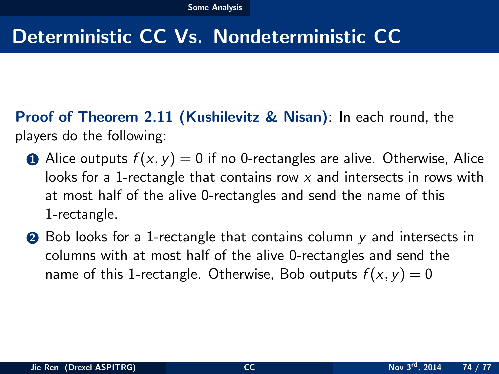# Deterministic CC Vs. Nondeterministic CC

Proof of Theorem 2.11 (Kushilevitz & Nisan): In each round, the players do the following:

- Alice outputs  $f(x, y) = 0$  if no 0-rectangles are alive. Otherwise, Alice looks for a 1-rectangle that contains row  $x$  and intersects in rows with at most half of the alive 0-rectangles and send the name of this 1-rectangle.
- <span id="page-73-0"></span>**2** Bob looks for a 1-rectangle that contains column y and intersects in columns with at most half of the alive 0-rectangles and send the name of this 1-rectangle. Otherwise, Bob outputs  $f(x, y) = 0$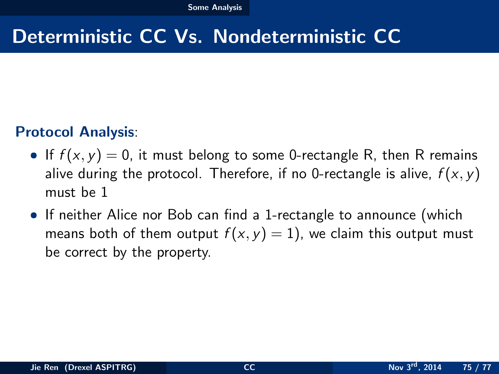### Deterministic CC Vs. Nondeterministic CC

#### Protocol Analysis:

- If  $f(x, y) = 0$ , it must belong to some 0-rectangle R, then R remains alive during the protocol. Therefore, if no 0-rectangle is alive,  $f(x, y)$ must be 1
- <span id="page-74-0"></span>• If neither Alice nor Bob can find a 1-rectangle to announce (which means both of them output  $f(x, y) = 1$ , we claim this output must be correct by the property.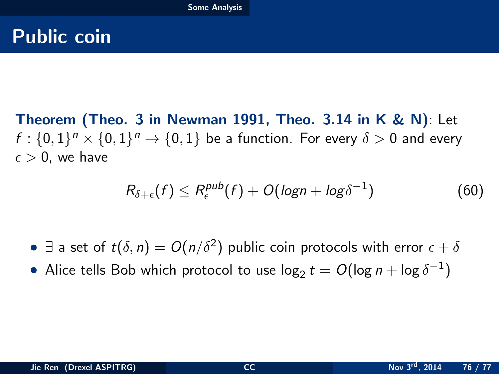### Public coin

Theorem (Theo. 3 in Newman 1991, Theo. 3.14 in K & N): Let  $f: \{0,1\}^n \times \{0,1\}^n \rightarrow \{0,1\}$  be a function. For every  $\delta > 0$  and every  $\epsilon > 0$ , we have

<span id="page-75-0"></span>
$$
R_{\delta+\epsilon}(f) \leq R_{\epsilon}^{pub}(f) + O(logn + log\delta^{-1})
$$
\n(60)

 $\bullet$   $\exists$  a set of  $t(\delta, n) = O(n/\delta^2)$  public coin protocols with error  $\epsilon + \delta$ 

 $\bullet$  Alice tells Bob which protocol to use log $_2$   $t=O(\log n + \log \delta^{-1})$